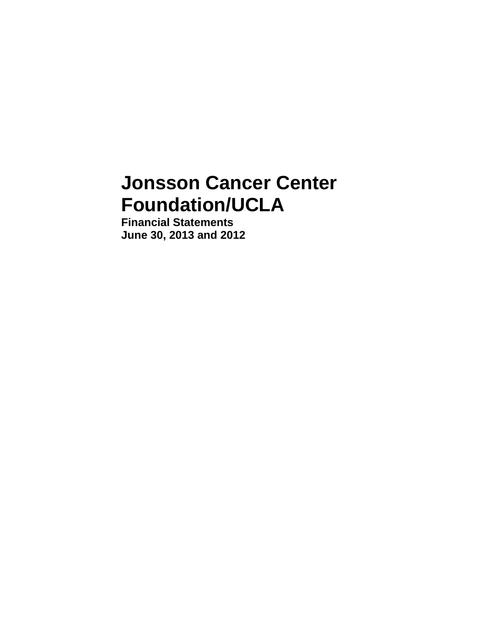# **Jonsson Cancer Center Foundation/UCLA**

**Financial Statements June 30, 2013 and 2012**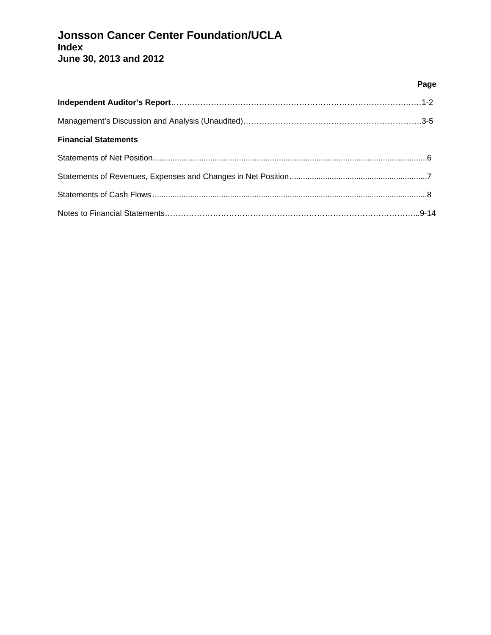# **Jonsson Cancer Center Foundation/UCLA Index June 30, 2013 and 2012**

## **Page**

| <b>Financial Statements</b> |  |
|-----------------------------|--|
|                             |  |
|                             |  |
|                             |  |
|                             |  |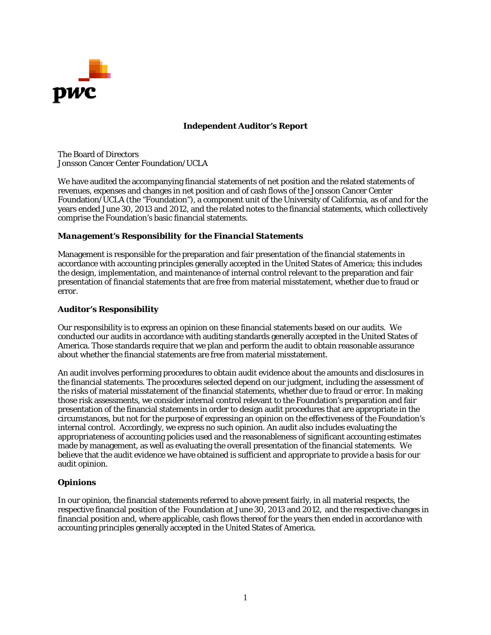

## **Independent Auditor's Report**

The Board of Directors Jonsson Cancer Center Foundation/UCLA

We have audited the accompanying financial statements of net position and the related statements of revenues, expenses and changes in net position and of cash flows of the Jonsson Cancer Center Foundation/UCLA (the "Foundation"), a component unit of the University of California, as of and for the years ended June 30, 2013 and 2012, and the related notes to the financial statements, which collectively comprise the Foundation's basic financial statements.

#### *Management's Responsibility for the Financial Statements*

Management is responsible for the preparation and fair presentation of the financial statements in accordance with accounting principles generally accepted in the United States of America; this includes the design, implementation, and maintenance of internal control relevant to the preparation and fair presentation of financial statements that are free from material misstatement, whether due to fraud or error.

#### *Auditor's Responsibility*

Our responsibility is to express an opinion on these financial statements based on our audits. We conducted our audits in accordance with auditing standards generally accepted in the United States of America. Those standards require that we plan and perform the audit to obtain reasonable assurance about whether the financial statements are free from material misstatement.

An audit involves performing procedures to obtain audit evidence about the amounts and disclosures in the financial statements. The procedures selected depend on our judgment, including the assessment of the risks of material misstatement of the financial statements, whether due to fraud or error. In making those risk assessments, we consider internal control relevant to the Foundation's preparation and fair presentation of the financial statements in order to design audit procedures that are appropriate in the circumstances, but not for the purpose of expressing an opinion on the effectiveness of the Foundation's internal control. Accordingly, we express no such opinion. An audit also includes evaluating the appropriateness of accounting policies used and the reasonableness of significant accounting estimates made by management, as well as evaluating the overall presentation of the financial statements. We believe that the audit evidence we have obtained is sufficient and appropriate to provide a basis for our audit opinion.

#### *Opinions*

In our opinion, the financial statements referred to above present fairly, in all material respects, the respective financial position of the Foundation at June 30, 2013 and 2012, and the respective changes in financial position and, where applicable, cash flows thereof for the years then ended in accordance with accounting principles generally accepted in the United States of America.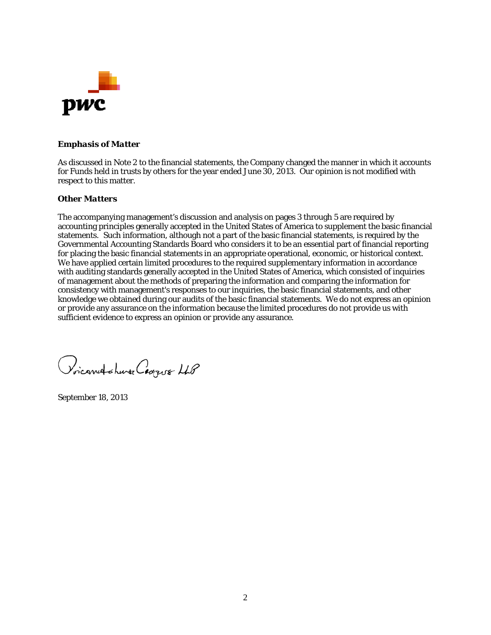

#### *Emphasis of Matter*

As discussed in Note 2 to the financial statements, the Company changed the manner in which it accounts for Funds held in trusts by others for the year ended June 30, 2013. Our opinion is not modified with respect to this matter.

#### *Other Matters*

The accompanying management's discussion and analysis on pages 3 through 5 are required by accounting principles generally accepted in the United States of America to supplement the basic financial statements. Such information, although not a part of the basic financial statements, is required by the Governmental Accounting Standards Board who considers it to be an essential part of financial reporting for placing the basic financial statements in an appropriate operational, economic, or historical context. We have applied certain limited procedures to the required supplementary information in accordance with auditing standards generally accepted in the United States of America, which consisted of inquiries of management about the methods of preparing the information and comparing the information for consistency with management's responses to our inquiries, the basic financial statements, and other knowledge we obtained during our audits of the basic financial statements. We do not express an opinion or provide any assurance on the information because the limited procedures do not provide us with sufficient evidence to express an opinion or provide any assurance.

Pricarred shurt Coopus LLP

September 18, 2013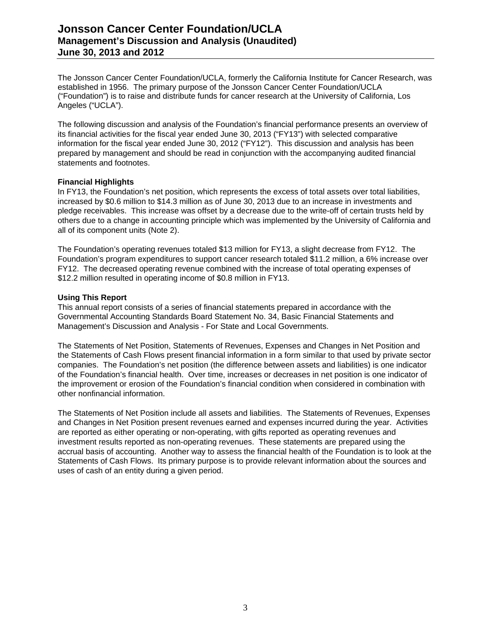The Jonsson Cancer Center Foundation/UCLA, formerly the California Institute for Cancer Research, was established in 1956. The primary purpose of the Jonsson Cancer Center Foundation/UCLA ("Foundation") is to raise and distribute funds for cancer research at the University of California, Los Angeles ("UCLA").

The following discussion and analysis of the Foundation's financial performance presents an overview of its financial activities for the fiscal year ended June 30, 2013 ("FY13") with selected comparative information for the fiscal year ended June 30, 2012 ("FY12"). This discussion and analysis has been prepared by management and should be read in conjunction with the accompanying audited financial statements and footnotes.

#### **Financial Highlights**

In FY13, the Foundation's net position, which represents the excess of total assets over total liabilities, increased by \$0.6 million to \$14.3 million as of June 30, 2013 due to an increase in investments and pledge receivables. This increase was offset by a decrease due to the write-off of certain trusts held by others due to a change in accounting principle which was implemented by the University of California and all of its component units (Note 2).

The Foundation's operating revenues totaled \$13 million for FY13, a slight decrease from FY12. The Foundation's program expenditures to support cancer research totaled \$11.2 million, a 6% increase over FY12. The decreased operating revenue combined with the increase of total operating expenses of \$12.2 million resulted in operating income of \$0.8 million in FY13.

#### **Using This Report**

This annual report consists of a series of financial statements prepared in accordance with the Governmental Accounting Standards Board Statement No. 34, Basic Financial Statements and Management's Discussion and Analysis - For State and Local Governments.

The Statements of Net Position, Statements of Revenues, Expenses and Changes in Net Position and the Statements of Cash Flows present financial information in a form similar to that used by private sector companies. The Foundation's net position (the difference between assets and liabilities) is one indicator of the Foundation's financial health. Over time, increases or decreases in net position is one indicator of the improvement or erosion of the Foundation's financial condition when considered in combination with other nonfinancial information.

The Statements of Net Position include all assets and liabilities. The Statements of Revenues, Expenses and Changes in Net Position present revenues earned and expenses incurred during the year. Activities are reported as either operating or non-operating, with gifts reported as operating revenues and investment results reported as non-operating revenues. These statements are prepared using the accrual basis of accounting. Another way to assess the financial health of the Foundation is to look at the Statements of Cash Flows. Its primary purpose is to provide relevant information about the sources and uses of cash of an entity during a given period.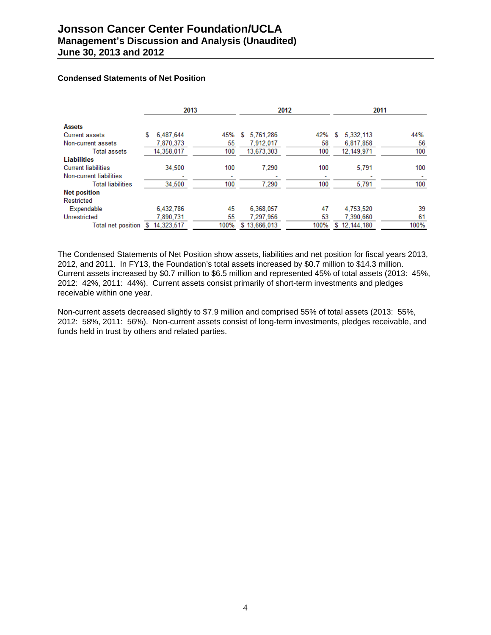#### **Condensed Statements of Net Position**

|                            |                 | 2013 |                | 2012 |                  | 2011 |
|----------------------------|-----------------|------|----------------|------|------------------|------|
| <b>Assets</b>              |                 |      |                |      |                  |      |
| <b>Current assets</b>      | 6.487.644<br>S  | 45%  | 5,761,286<br>S | 42%  | 5,332,113<br>S   | 44%  |
| Non-current assets         | 7.870.373       | 55   | 7.912.017      | 58   | 6.817.858        | 56   |
| <b>Total assets</b>        | 14.358.017      | 100  | 13.673.303     | 100  | 12.149.971       | 100  |
| <b>Liabilities</b>         |                 |      |                |      |                  |      |
| <b>Current liabilities</b> | 34,500          | 100  | 7.290          | 100  | 5.791            | 100  |
| Non-current liabilities    |                 |      |                |      |                  |      |
| <b>Total liabilities</b>   | 34.500          | 100  | 7.290          | 100  | 5,791            | 100  |
| <b>Net position</b>        |                 |      |                |      |                  |      |
| Restricted                 |                 |      |                |      |                  |      |
| Expendable                 | 6.432.786       | 45   | 6.368.057      | 47   | 4.753.520        | 39   |
| Unrestricted               | 7.890.731       | 55   | 7.297.956      | 53   | 7.390.660        | 61   |
| Total net position         | 14,323,517<br>S | 100% | \$13,666,013   | 100% | 12.144.180<br>S. | 100% |

The Condensed Statements of Net Position show assets, liabilities and net position for fiscal years 2013, 2012, and 2011. In FY13, the Foundation's total assets increased by \$0.7 million to \$14.3 million. Current assets increased by \$0.7 million to \$6.5 million and represented 45% of total assets (2013: 45%, 2012: 42%, 2011: 44%). Current assets consist primarily of short-term investments and pledges receivable within one year.

Non-current assets decreased slightly to \$7.9 million and comprised 55% of total assets (2013: 55%, 2012: 58%, 2011: 56%). Non-current assets consist of long-term investments, pledges receivable, and funds held in trust by others and related parties.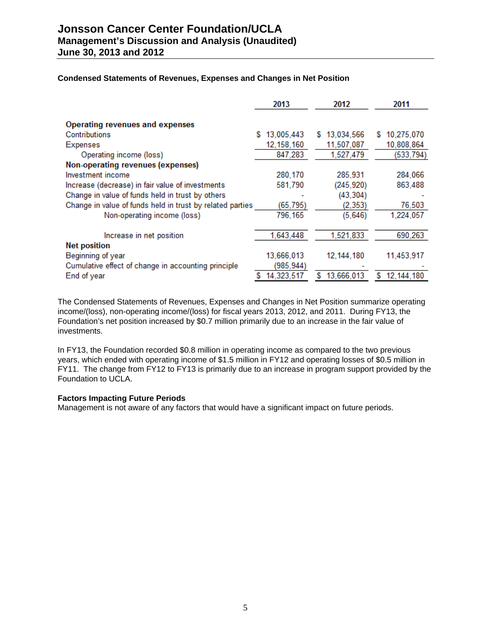#### **Condensed Statements of Revenues, Expenses and Changes in Net Position**

|                                                           | 2013            | 2012            | 2011              |
|-----------------------------------------------------------|-----------------|-----------------|-------------------|
| Operating revenues and expenses                           |                 |                 |                   |
| Contributions                                             | 13,005,443<br>S | 13,034,566<br>S | 10,275,070<br>S   |
| <b>Expenses</b>                                           | 12, 158, 160    | 11,507,087      | 10,808,864        |
| Operating income (loss)                                   | 847,283         | 1,527,479       | (533, 794)        |
| Non-operating revenues (expenses)                         |                 |                 |                   |
| Investment income                                         | 280,170         | 285,931         | 284,066           |
| Increase (decrease) in fair value of investments          | 581,790         | (245, 920)      | 863,488           |
| Change in value of funds held in trust by others          |                 | (43, 304)       |                   |
| Change in value of funds held in trust by related parties | (65,795)        | (2, 353)        | 76,503            |
| Non-operating income (loss)                               | 796,165         | (5,646)         | 1,224,057         |
| Increase in net position                                  | 1,643,448       | 1,521,833       | 690,263           |
| <b>Net position</b>                                       |                 |                 |                   |
| Beginning of year                                         | 13,666,013      | 12, 144, 180    | 11,453,917        |
| Cumulative effect of change in accounting principle       | (985, 944)      |                 |                   |
| End of year                                               | 14,323,517      | 13,666,013<br>S | 12, 144, 180<br>S |

The Condensed Statements of Revenues, Expenses and Changes in Net Position summarize operating income/(loss), non-operating income/(loss) for fiscal years 2013, 2012, and 2011. During FY13, the Foundation's net position increased by \$0.7 million primarily due to an increase in the fair value of investments.

In FY13, the Foundation recorded \$0.8 million in operating income as compared to the two previous years, which ended with operating income of \$1.5 million in FY12 and operating losses of \$0.5 million in FY11. The change from FY12 to FY13 is primarily due to an increase in program support provided by the Foundation to UCLA.

#### **Factors Impacting Future Periods**

Management is not aware of any factors that would have a significant impact on future periods.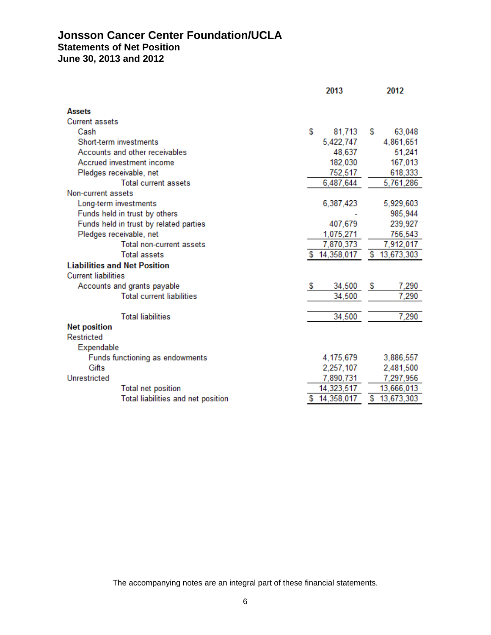# **Jonsson Cancer Center Foundation/UCLA Statements of Net Position June 30, 2013 and 2012**

|                                        | 2013            | 2012             |
|----------------------------------------|-----------------|------------------|
| <b>Assets</b>                          |                 |                  |
| <b>Current assets</b>                  |                 |                  |
| Cash                                   | S<br>81,713     | S<br>63,048      |
| Short-term investments                 | 5,422,747       | 4,861,651        |
| Accounts and other receivables         | 48,637          | 51,241           |
| Accrued investment income              | 182,030         | 167,013          |
| Pledges receivable, net                | 752,517         | 618,333          |
| <b>Total current assets</b>            | 6,487,644       | 5,761,286        |
| Non-current assets                     |                 |                  |
| Long-term investments                  | 6,387,423       | 5,929,603        |
| Funds held in trust by others          |                 | 985,944          |
| Funds held in trust by related parties | 407,679         | 239,927          |
| Pledges receivable, net                | 1,075,271       | 756,543          |
| Total non-current assets               | 7,870,373       | 7,912,017        |
| <b>Total assets</b>                    | \$14,358,017    | \$13,673,303     |
| <b>Liabilities and Net Position</b>    |                 |                  |
| <b>Current liabilities</b>             |                 |                  |
| Accounts and grants payable            | S<br>34,500     | 7,290<br>\$      |
| <b>Total current liabilities</b>       | 34,500          | 7,290            |
|                                        |                 |                  |
| <b>Total liabilities</b>               | 34,500          | 7,290            |
| <b>Net position</b>                    |                 |                  |
| Restricted                             |                 |                  |
| Expendable                             |                 |                  |
| Funds functioning as endowments        | 4,175,679       | 3,886,557        |
| Gifts                                  | 2,257,107       | 2,481,500        |
| Unrestricted                           | 7,890,731       | 7,297,956        |
| <b>Total net position</b>              | 14,323,517      | 13,666,013       |
| Total liabilities and net position     | 14,358,017<br>S | \$<br>13,673,303 |

The accompanying notes are an integral part of these financial statements.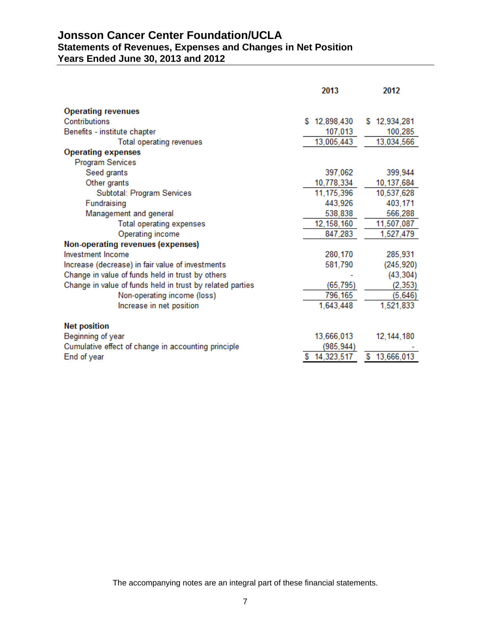## **Jonsson Cancer Center Foundation/UCLA Statements of Revenues, Expenses and Changes in Net Position Years Ended June 30, 2013 and 2012**

|                                                           | 2013            | 2012             |
|-----------------------------------------------------------|-----------------|------------------|
|                                                           |                 |                  |
| <b>Operating revenues</b>                                 |                 |                  |
| Contributions                                             | 12,898,430<br>S | 12,934,281<br>S. |
| Benefits - institute chapter                              | 107,013         | 100,285          |
| Total operating revenues                                  | 13,005,443      | 13,034,566       |
| <b>Operating expenses</b>                                 |                 |                  |
| <b>Program Services</b>                                   |                 |                  |
| Seed grants                                               | 397,062         | 399,944          |
| Other grants                                              | 10,778,334      | 10,137,684       |
| Subtotal: Program Services                                | 11, 175, 396    | 10,537,628       |
| Fundraising                                               | 443,926         | 403,171          |
| Management and general                                    | 538,838         | 566,288          |
| <b>Total operating expenses</b>                           | 12, 158, 160    | 11,507,087       |
| Operating income                                          | 847,283         | 1,527,479        |
| Non-operating revenues (expenses)                         |                 |                  |
| Investment Income                                         | 280,170         | 285,931          |
| Increase (decrease) in fair value of investments          | 581,790         | (245, 920)       |
| Change in value of funds held in trust by others          |                 | (43, 304)        |
| Change in value of funds held in trust by related parties | (65, 795)       | (2, 353)         |
| Non-operating income (loss)                               | 796,165         | (5,646)          |
| Increase in net position                                  | 1,643,448       | 1,521,833        |
|                                                           |                 |                  |
| <b>Net position</b>                                       |                 |                  |
| Beginning of year                                         | 13,666,013      | 12, 144, 180     |
| Cumulative effect of change in accounting principle       | (985, 944)      |                  |
| End of year                                               | 14,323,517<br>S | 13,666,013<br>\$ |
|                                                           |                 |                  |

The accompanying notes are an integral part of these financial statements.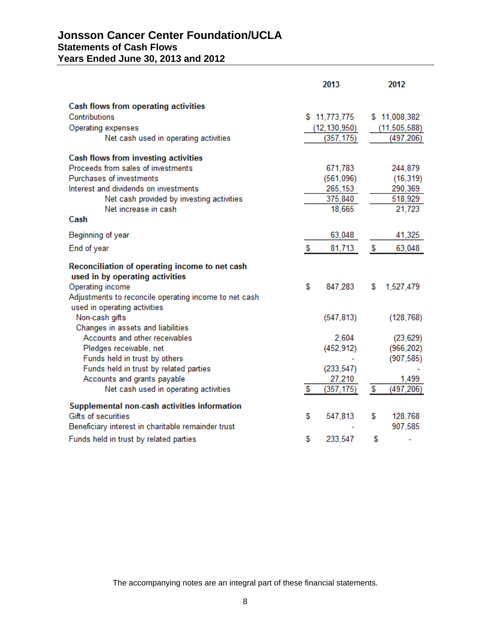## **Jonsson Cancer Center Foundation/UCLA Statements of Cash Flows Years Ended June 30, 2013 and 2012**

|                                                                                                                                                                                                                                                                                         |    | 2013                  |    | 2012                    |
|-----------------------------------------------------------------------------------------------------------------------------------------------------------------------------------------------------------------------------------------------------------------------------------------|----|-----------------------|----|-------------------------|
| Cash flows from operating activities                                                                                                                                                                                                                                                    |    |                       |    |                         |
| Contributions                                                                                                                                                                                                                                                                           |    | \$11,773,775          |    | \$11,008,382            |
| Operating expenses                                                                                                                                                                                                                                                                      |    | (12, 130, 950)        |    | (11, 505, 588)          |
| Net cash used in operating activities                                                                                                                                                                                                                                                   |    | (357, 175)            |    | (497, 206)              |
|                                                                                                                                                                                                                                                                                         |    |                       |    |                         |
| Cash flows from investing activities                                                                                                                                                                                                                                                    |    |                       |    |                         |
| Proceeds from sales of investments                                                                                                                                                                                                                                                      |    | 671,783               |    | 244,879                 |
| Purchases of investments                                                                                                                                                                                                                                                                |    | (561,096)             |    | (16, 319)               |
| Interest and dividends on investments                                                                                                                                                                                                                                                   |    | 265,153               |    | 290,369                 |
| Net cash provided by investing activities                                                                                                                                                                                                                                               |    | 375,840               |    | 518,929                 |
| Net increase in cash                                                                                                                                                                                                                                                                    |    | 18,665                |    | 21,723                  |
| Cash                                                                                                                                                                                                                                                                                    |    |                       |    |                         |
| Beginning of year                                                                                                                                                                                                                                                                       |    | 63,048                |    | 41,325                  |
| End of year                                                                                                                                                                                                                                                                             | \$ | 81,713                | S  | 63,048                  |
| Reconciliation of operating income to net cash<br>used in by operating activities<br>Operating income<br>Adjustments to reconcile operating income to net cash<br>used in operating activities<br>Non-cash gifts<br>Changes in assets and liabilities<br>Accounts and other receivables | \$ | 847,283<br>(547, 813) | S  | 1,527,479<br>(128, 768) |
| Pledges receivable, net                                                                                                                                                                                                                                                                 |    | 2,604<br>(452, 912)   |    | (23, 629)<br>(966, 202) |
| Funds held in trust by others                                                                                                                                                                                                                                                           |    |                       |    | (907, 585)              |
| Funds held in trust by related parties                                                                                                                                                                                                                                                  |    | (233, 547)            |    |                         |
| Accounts and grants payable                                                                                                                                                                                                                                                             |    | 27,210                |    | 1,499                   |
| Net cash used in operating activities                                                                                                                                                                                                                                                   | S  | (357, 175)            | \$ | (497,206)               |
|                                                                                                                                                                                                                                                                                         |    |                       |    |                         |
| Supplemental non-cash activities information<br>Gifts of securities<br>Beneficiary interest in charitable remainder trust                                                                                                                                                               | S  | 547,813               | S  | 128,768<br>907,585      |
| Funds held in trust by related parties                                                                                                                                                                                                                                                  | S  | 233,547               | \$ |                         |

The accompanying notes are an integral part of these financial statements.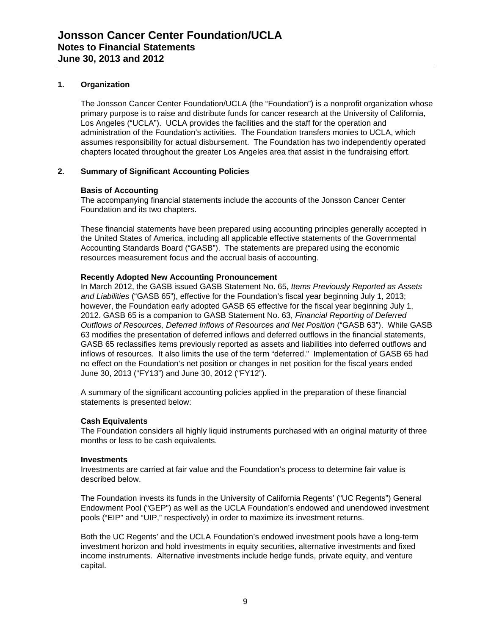#### **1. Organization**

The Jonsson Cancer Center Foundation/UCLA (the "Foundation") is a nonprofit organization whose primary purpose is to raise and distribute funds for cancer research at the University of California, Los Angeles ("UCLA"). UCLA provides the facilities and the staff for the operation and administration of the Foundation's activities. The Foundation transfers monies to UCLA, which assumes responsibility for actual disbursement. The Foundation has two independently operated chapters located throughout the greater Los Angeles area that assist in the fundraising effort.

#### **2. Summary of Significant Accounting Policies**

#### **Basis of Accounting**

The accompanying financial statements include the accounts of the Jonsson Cancer Center Foundation and its two chapters.

These financial statements have been prepared using accounting principles generally accepted in the United States of America, including all applicable effective statements of the Governmental Accounting Standards Board ("GASB"). The statements are prepared using the economic resources measurement focus and the accrual basis of accounting.

#### **Recently Adopted New Accounting Pronouncement**

In March 2012, the GASB issued GASB Statement No. 65, *Items Previously Reported as Assets and Liabilities* ("GASB 65"), effective for the Foundation's fiscal year beginning July 1, 2013; however, the Foundation early adopted GASB 65 effective for the fiscal year beginning July 1, 2012. GASB 65 is a companion to GASB Statement No. 63, *Financial Reporting of Deferred Outflows of Resources, Deferred Inflows of Resources and Net Position* ("GASB 63"). While GASB 63 modifies the presentation of deferred inflows and deferred outflows in the financial statements, GASB 65 reclassifies items previously reported as assets and liabilities into deferred outflows and inflows of resources. It also limits the use of the term "deferred." Implementation of GASB 65 had no effect on the Foundation's net position or changes in net position for the fiscal years ended June 30, 2013 ("FY13") and June 30, 2012 ("FY12").

A summary of the significant accounting policies applied in the preparation of these financial statements is presented below:

#### **Cash Equivalents**

The Foundation considers all highly liquid instruments purchased with an original maturity of three months or less to be cash equivalents.

#### **Investments**

Investments are carried at fair value and the Foundation's process to determine fair value is described below.

The Foundation invests its funds in the University of California Regents' ("UC Regents") General Endowment Pool ("GEP") as well as the UCLA Foundation's endowed and unendowed investment pools ("EIP" and "UIP," respectively) in order to maximize its investment returns.

Both the UC Regents' and the UCLA Foundation's endowed investment pools have a long-term investment horizon and hold investments in equity securities, alternative investments and fixed income instruments. Alternative investments include hedge funds, private equity, and venture capital.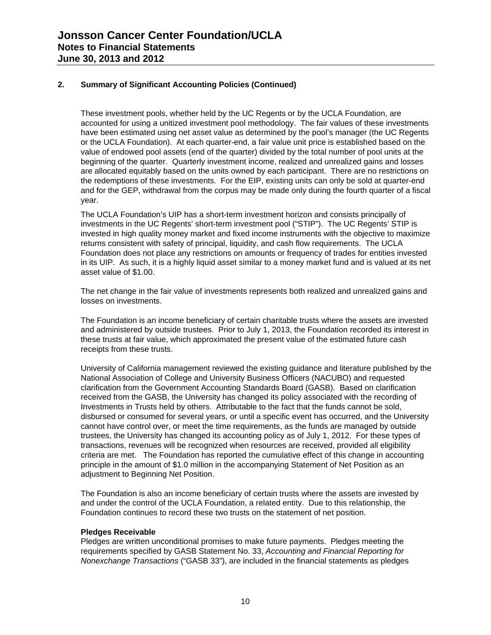#### **2. Summary of Significant Accounting Policies (Continued)**

These investment pools, whether held by the UC Regents or by the UCLA Foundation, are accounted for using a unitized investment pool methodology. The fair values of these investments have been estimated using net asset value as determined by the pool's manager (the UC Regents or the UCLA Foundation). At each quarter-end, a fair value unit price is established based on the value of endowed pool assets (end of the quarter) divided by the total number of pool units at the beginning of the quarter. Quarterly investment income, realized and unrealized gains and losses are allocated equitably based on the units owned by each participant. There are no restrictions on the redemptions of these investments. For the EIP, existing units can only be sold at quarter-end and for the GEP, withdrawal from the corpus may be made only during the fourth quarter of a fiscal year.

The UCLA Foundation's UIP has a short-term investment horizon and consists principally of investments in the UC Regents' short-term investment pool ("STIP"). The UC Regents' STIP is invested in high quality money market and fixed income instruments with the objective to maximize returns consistent with safety of principal, liquidity, and cash flow requirements. The UCLA Foundation does not place any restrictions on amounts or frequency of trades for entities invested in its UIP. As such, it is a highly liquid asset similar to a money market fund and is valued at its net asset value of \$1.00.

The net change in the fair value of investments represents both realized and unrealized gains and losses on investments.

The Foundation is an income beneficiary of certain charitable trusts where the assets are invested and administered by outside trustees. Prior to July 1, 2013, the Foundation recorded its interest in these trusts at fair value, which approximated the present value of the estimated future cash receipts from these trusts.

University of California management reviewed the existing guidance and literature published by the National Association of College and University Business Officers (NACUBO) and requested clarification from the Government Accounting Standards Board (GASB). Based on clarification received from the GASB, the University has changed its policy associated with the recording of Investments in Trusts held by others. Attributable to the fact that the funds cannot be sold, disbursed or consumed for several years, or until a specific event has occurred, and the University cannot have control over, or meet the time requirements, as the funds are managed by outside trustees, the University has changed its accounting policy as of July 1, 2012. For these types of transactions, revenues will be recognized when resources are received, provided all eligibility criteria are met. The Foundation has reported the cumulative effect of this change in accounting principle in the amount of \$1.0 million in the accompanying Statement of Net Position as an adjustment to Beginning Net Position.

The Foundation is also an income beneficiary of certain trusts where the assets are invested by and under the control of the UCLA Foundation, a related entity. Due to this relationship, the Foundation continues to record these two trusts on the statement of net position.

#### **Pledges Receivable**

Pledges are written unconditional promises to make future payments. Pledges meeting the requirements specified by GASB Statement No. 33, *Accounting and Financial Reporting for Nonexchange Transactions* ("GASB 33"), are included in the financial statements as pledges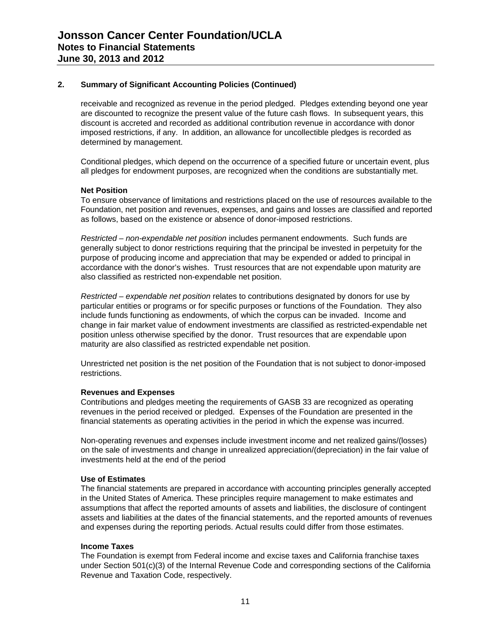#### **2. Summary of Significant Accounting Policies (Continued)**

receivable and recognized as revenue in the period pledged. Pledges extending beyond one year are discounted to recognize the present value of the future cash flows. In subsequent years, this discount is accreted and recorded as additional contribution revenue in accordance with donor imposed restrictions, if any. In addition, an allowance for uncollectible pledges is recorded as determined by management.

Conditional pledges, which depend on the occurrence of a specified future or uncertain event, plus all pledges for endowment purposes, are recognized when the conditions are substantially met.

#### **Net Position**

To ensure observance of limitations and restrictions placed on the use of resources available to the Foundation, net position and revenues, expenses, and gains and losses are classified and reported as follows, based on the existence or absence of donor-imposed restrictions.

*Restricted – non-expendable net position* includes permanent endowments. Such funds are generally subject to donor restrictions requiring that the principal be invested in perpetuity for the purpose of producing income and appreciation that may be expended or added to principal in accordance with the donor's wishes. Trust resources that are not expendable upon maturity are also classified as restricted non-expendable net position.

*Restricted – expendable net position* relates to contributions designated by donors for use by particular entities or programs or for specific purposes or functions of the Foundation. They also include funds functioning as endowments, of which the corpus can be invaded. Income and change in fair market value of endowment investments are classified as restricted-expendable net position unless otherwise specified by the donor. Trust resources that are expendable upon maturity are also classified as restricted expendable net position.

Unrestricted net position is the net position of the Foundation that is not subject to donor-imposed restrictions.

#### **Revenues and Expenses**

Contributions and pledges meeting the requirements of GASB 33 are recognized as operating revenues in the period received or pledged. Expenses of the Foundation are presented in the financial statements as operating activities in the period in which the expense was incurred.

Non-operating revenues and expenses include investment income and net realized gains/(losses) on the sale of investments and change in unrealized appreciation/(depreciation) in the fair value of investments held at the end of the period

#### **Use of Estimates**

The financial statements are prepared in accordance with accounting principles generally accepted in the United States of America. These principles require management to make estimates and assumptions that affect the reported amounts of assets and liabilities, the disclosure of contingent assets and liabilities at the dates of the financial statements, and the reported amounts of revenues and expenses during the reporting periods. Actual results could differ from those estimates.

#### **Income Taxes**

The Foundation is exempt from Federal income and excise taxes and California franchise taxes under Section 501(c)(3) of the Internal Revenue Code and corresponding sections of the California Revenue and Taxation Code, respectively.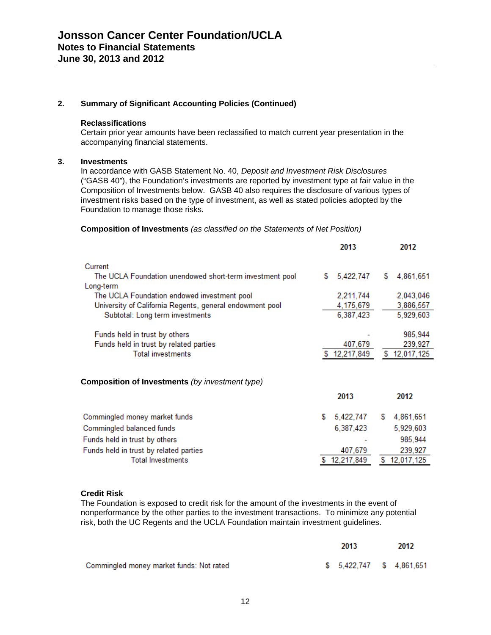#### **2. Summary of Significant Accounting Policies (Continued)**

#### **Reclassifications**

Certain prior year amounts have been reclassified to match current year presentation in the accompanying financial statements.

#### **3. Investments**

In accordance with GASB Statement No. 40, *Deposit and Investment Risk Disclosures*  ("GASB 40"), the Foundation's investments are reported by investment type at fair value in the Composition of Investments below. GASB 40 also requires the disclosure of various types of investment risks based on the type of investment, as well as stated policies adopted by the Foundation to manage those risks.

#### **Composition of Investments** *(as classified on the Statements of Net Position)*

|                                                          |    | 2013       |   | 2012                            |
|----------------------------------------------------------|----|------------|---|---------------------------------|
| Current                                                  |    |            |   |                                 |
| The UCLA Foundation unendowed short-term investment pool | S. | 5,422,747  | S | 4,861,651                       |
| Long-term                                                |    |            |   |                                 |
| The UCLA Foundation endowed investment pool              |    | 2,211,744  |   | 2,043,046                       |
| University of California Regents, general endowment pool |    | 4,175,679  |   | 3,886,557                       |
| Subtotal: Long term investments                          |    | 6,387,423  |   | 5,929,603                       |
| Funds held in trust by others                            |    |            |   | 985,944                         |
| Funds held in trust by related parties                   |    | 407,679    |   | 239,927                         |
| <b>Total investments</b>                                 |    | 12,217,849 | S | 12,017,125                      |
| Composition of Investments (by investment type)          |    |            |   |                                 |
|                                                          |    | 2013       |   | 2012                            |
| Commingled money market funde                            | ¢. | E 422 747  |   | $R$ $A$ $R$ $R$ $1$ $R$ $R$ $1$ |

| Commingled money market funds          | \$ 5.422.747             | \$4.861.651  |
|----------------------------------------|--------------------------|--------------|
| Commingled balanced funds              | 6.387.423                | 5.929.603    |
| Funds held in trust by others          | $\overline{\phantom{a}}$ | 985.944      |
| Funds held in trust by related parties | 407.679                  | 239.927      |
| <b>Total Investments</b>               | \$12,217,849             | \$12,017,125 |

#### **Credit Risk**

The Foundation is exposed to credit risk for the amount of the investments in the event of nonperformance by the other parties to the investment transactions. To minimize any potential risk, both the UC Regents and the UCLA Foundation maintain investment guidelines.

|                                          | 2013                      | 2012 |
|------------------------------------------|---------------------------|------|
| Commingled money market funds: Not rated | \$ 5,422,747 \$ 4,861,651 |      |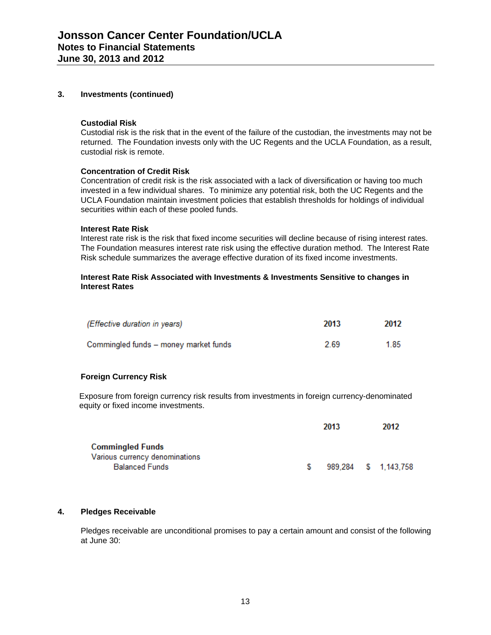#### **3. Investments (continued)**

#### **Custodial Risk**

Custodial risk is the risk that in the event of the failure of the custodian, the investments may not be returned. The Foundation invests only with the UC Regents and the UCLA Foundation, as a result, custodial risk is remote.

#### **Concentration of Credit Risk**

Concentration of credit risk is the risk associated with a lack of diversification or having too much invested in a few individual shares. To minimize any potential risk, both the UC Regents and the UCLA Foundation maintain investment policies that establish thresholds for holdings of individual securities within each of these pooled funds.

#### **Interest Rate Risk**

Interest rate risk is the risk that fixed income securities will decline because of rising interest rates. The Foundation measures interest rate risk using the effective duration method. The Interest Rate Risk schedule summarizes the average effective duration of its fixed income investments.

#### **Interest Rate Risk Associated with Investments & Investments Sensitive to changes in Interest Rates**

| (Effective duration in years)         | 2013 | 2012 |
|---------------------------------------|------|------|
| Commingled funds - money market funds | 2.69 | 1.85 |

#### **Foreign Currency Risk**

Exposure from foreign currency risk results from investments in foreign currency-denominated equity or fixed income investments.

|                                |    | 2013 | 2012                 |
|--------------------------------|----|------|----------------------|
| Commingled Funds               |    |      |                      |
| Various currency denominations |    |      |                      |
| <b>Balanced Funds</b>          | S. |      | 989.284 \$ 1.143.758 |

#### **4. Pledges Receivable**

Pledges receivable are unconditional promises to pay a certain amount and consist of the following at June 30: